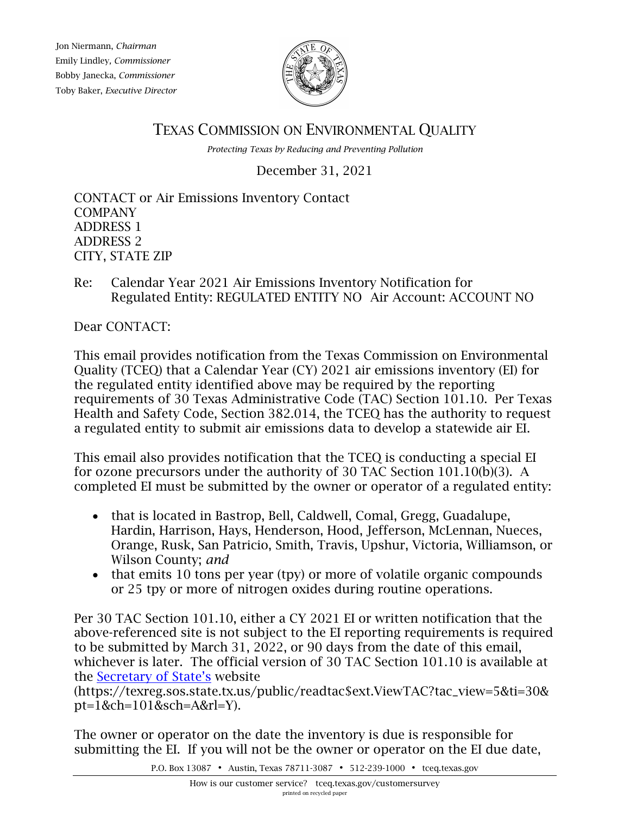Jon Niermann, *Chairman* Emily Lindley*, Commissioner* Bobby Janecka, *Commissioner* Toby Baker, *Executive Director*



TEXAS COMMISSION ON ENVIRONMENTAL QUALITY

*Protecting Texas by Reducing and Preventing Pollution*

December 31, 2021

CONTACT or Air Emissions Inventory Contact COMPANY ADDRESS 1 ADDRESS 2 CITY, STATE ZIP

Re: Calendar Year 2021 Air Emissions Inventory Notification for Regulated Entity: REGULATED ENTITY NO Air Account: ACCOUNT NO

Dear CONTACT:

This email provides notification from the Texas Commission on Environmental Quality (TCEQ) that a Calendar Year (CY) 2021 air emissions inventory (EI) for the regulated entity identified above may be required by the reporting requirements of 30 Texas Administrative Code (TAC) Section 101.10. Per Texas Health and Safety Code, Section 382.014, the TCEQ has the authority to request a regulated entity to submit air emissions data to develop a statewide air EI.

This email also provides notification that the TCEQ is conducting a special EI for ozone precursors under the authority of 30 TAC Section 101.10(b)(3). A completed EI must be submitted by the owner or operator of a regulated entity:

- that is located in Bastrop, Bell, Caldwell, Comal, Gregg, Guadalupe, Hardin, Harrison, Hays, Henderson, Hood, Jefferson, McLennan, Nueces, Orange, Rusk, San Patricio, Smith, Travis, Upshur, Victoria, Williamson, or Wilson County; *and*
- that emits 10 tons per year (tpy) or more of volatile organic compounds or 25 tpy or more of nitrogen oxides during routine operations.

Per 30 TAC Section 101.10, either a CY 2021 EI or written notification that the above-referenced site is not subject to the EI reporting requirements is required to be submitted by March 31, 2022, or 90 days from the date of this email, whichever is later. The official version of 30 TAC Section 101.10 is available at the [Secretary of State's](https://texreg.sos.state.tx.us/public/readtac$ext.ViewTAC?tac_view=5&ti=30&pt=1&ch=101&sch=A&rl=Y) website

(https://texreg.sos.state.tx.us/public/readtac\$ext.ViewTAC?tac\_view=5&ti=30& pt=1&ch=101&sch=A&rl=Y).

The owner or operator on the date the inventory is due is responsible for submitting the EI. If you will not be the owner or operator on the EI due date,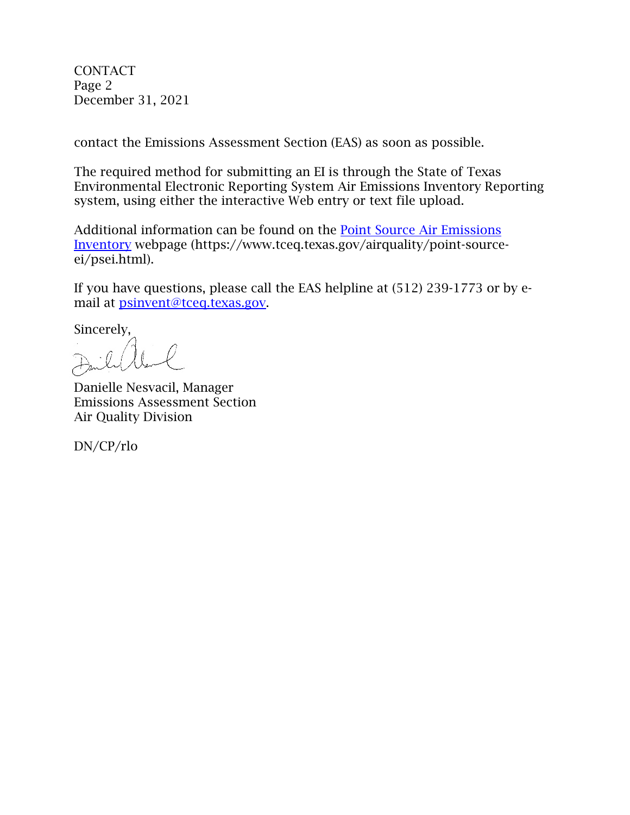CONTACT Page 2 December 31, 2021

contact the Emissions Assessment Section (EAS) as soon as possible.

The required method for submitting an EI is through the State of Texas Environmental Electronic Reporting System Air Emissions Inventory Reporting system, using either the interactive Web entry or text file upload.

Additional information can be found on the [Point Source Air Emissions](https://www.tceq.texas.gov/airquality/point-source-ei/psei.html)  [Inventory](https://www.tceq.texas.gov/airquality/point-source-ei/psei.html) webpage (https://www.tceq.texas.gov/airquality/point-sourceei/psei.html).

If you have questions, please call the EAS helpline at (512) 239-1773 or by email at psinvent@tceq.texas.gov.

Sincerely,

 $\ell$ 

Danielle Nesvacil, Manager Emissions Assessment Section Air Quality Division

DN/CP/rlo